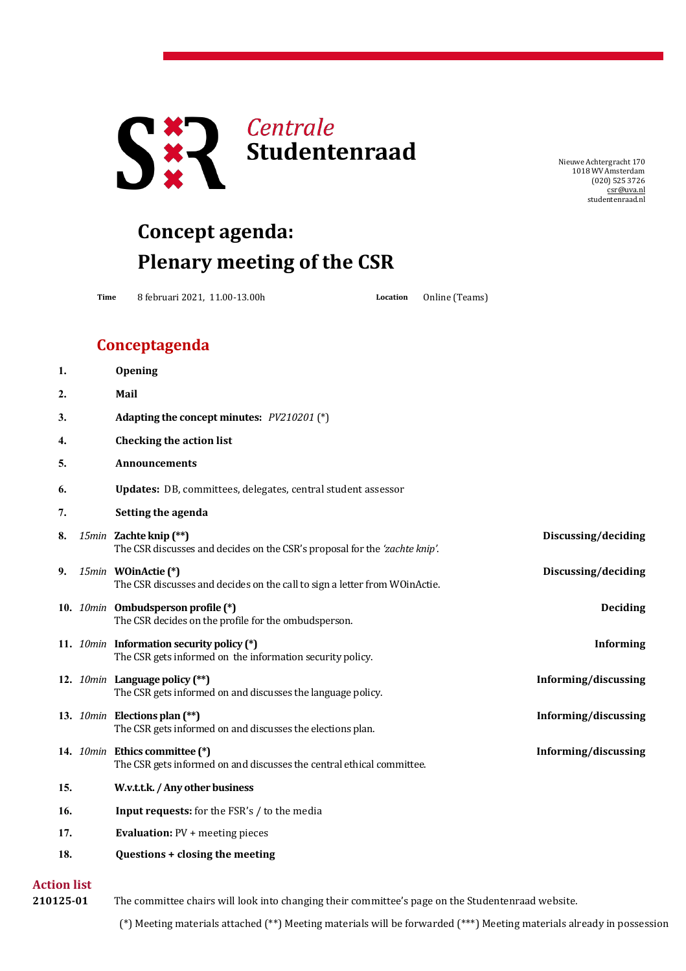

NieuweAchtergracht 170 1018 WV Amsterdam (020) 525 3726 [csr@uva.nl](mailto:csr@uva.nl) studentenraad.nl

## **Concept agenda: Plenary meeting of the CSR**

**Time** 8 februari 2021, 11.00-13.00h **Location** Online (Teams)

## **Conceptagenda**

| 1.                 | Opening                                                                                                 |                      |
|--------------------|---------------------------------------------------------------------------------------------------------|----------------------|
| $\overline{2}$ .   | Mail                                                                                                    |                      |
| 3.                 | Adapting the concept minutes: PV210201 (*)                                                              |                      |
| 4.                 | <b>Checking the action list</b>                                                                         |                      |
| 5.                 | Announcements                                                                                           |                      |
| 6.                 | Updates: DB, committees, delegates, central student assessor                                            |                      |
| 7.                 | Setting the agenda                                                                                      |                      |
| 8.                 | 15min Zachte knip (**)<br>The CSR discusses and decides on the CSR's proposal for the 'zachte knip'.    | Discussing/deciding  |
| 9.                 | 15min WOinActie (*)<br>The CSR discusses and decides on the call to sign a letter from WOinActie.       | Discussing/deciding  |
|                    | 10. 10min Ombudsperson profile (*)<br>The CSR decides on the profile for the ombudsperson.              | <b>Deciding</b>      |
|                    | 11. 10min Information security policy (*)<br>The CSR gets informed on the information security policy.  | <b>Informing</b>     |
|                    | 12. 10min Language policy (**)<br>The CSR gets informed on and discusses the language policy.           | Informing/discussing |
|                    | 13. 10min Elections plan (**)<br>The CSR gets informed on and discusses the elections plan.             | Informing/discussing |
|                    | 14. 10min Ethics committee (*)<br>The CSR gets informed on and discusses the central ethical committee. | Informing/discussing |
| 15.                | W.v.t.t.k. / Any other business                                                                         |                      |
| 16.                | Input requests: for the FSR's / to the media                                                            |                      |
| 17.                | <b>Evaluation:</b> PV + meeting pieces                                                                  |                      |
| 18.                | Questions + closing the meeting                                                                         |                      |
| <b>Action list</b> |                                                                                                         |                      |

**210125-01** The committee chairs will look into changing their committee's page on the Studentenraad website.

(\*) Meeting materials attached (\*\*) Meeting materials will be forwarded (\*\*\*) Meeting materials already in possession